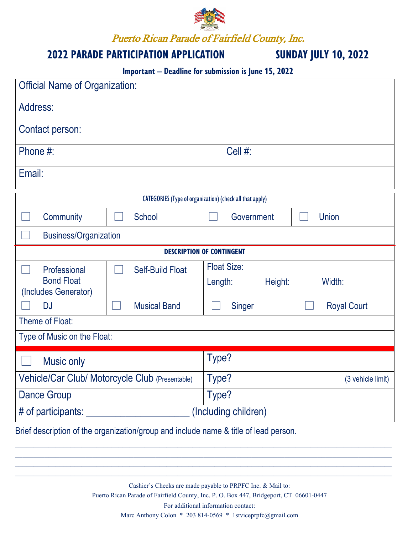

Puerto Rican Parade of Fairfield County, Inc.

### **2022 PARADE PARTICIPATION APPLICATION SUNDAY JULY 10, 2022**

### **Important – Deadline for submission is June 15, 2022**

| <b>Official Name of Organization:</b>                           |                                                 |                                          |                    |  |  |  |
|-----------------------------------------------------------------|-------------------------------------------------|------------------------------------------|--------------------|--|--|--|
| Address:                                                        |                                                 |                                          |                    |  |  |  |
| Contact person:                                                 |                                                 |                                          |                    |  |  |  |
| Phone #:                                                        | Cell #:                                         |                                          |                    |  |  |  |
| Email:                                                          |                                                 |                                          |                    |  |  |  |
| <b>CATEGORIES</b> (Type of organization) (check all that apply) |                                                 |                                          |                    |  |  |  |
| Community                                                       | School                                          | Government                               | Union              |  |  |  |
| <b>Business/Organization</b>                                    |                                                 |                                          |                    |  |  |  |
| <b>DESCRIPTION OF CONTINGENT</b>                                |                                                 |                                          |                    |  |  |  |
| Professional<br><b>Bond Float</b><br>(Includes Generator)       | <b>Self-Build Float</b>                         | <b>Float Size:</b><br>Length:<br>Height: | Width:             |  |  |  |
| <b>DJ</b>                                                       | <b>Musical Band</b>                             | Singer                                   | <b>Royal Court</b> |  |  |  |
| Theme of Float:                                                 |                                                 |                                          |                    |  |  |  |
| Type of Music on the Float:                                     |                                                 |                                          |                    |  |  |  |
| Music only                                                      |                                                 | Type?                                    |                    |  |  |  |
|                                                                 | Vehicle/Car Club/ Motorcycle Club (Presentable) | Type?                                    | (3 vehicle limit)  |  |  |  |
| <b>Dance Group</b>                                              |                                                 | Type?                                    |                    |  |  |  |
| # of participants:                                              |                                                 | (Including children)                     |                    |  |  |  |

Brief description of the organization/group and include name & title of lead person.

Cashier's Checks are made payable to PRPFC Inc. & Mail to: Puerto Rican Parade of Fairfield County, Inc. P. O. Box 447, Bridgeport, CT 06601-0447 For additional information contact: Marc Anthony Colon \* 203 814-0569 \* 1stviceprpfc@gmail.com

 $\_$  , and the set of the set of the set of the set of the set of the set of the set of the set of the set of the set of the set of the set of the set of the set of the set of the set of the set of the set of the set of th \_\_\_\_\_\_\_\_\_\_\_\_\_\_\_\_\_\_\_\_\_\_\_\_\_\_\_\_\_\_\_\_\_\_\_\_\_\_\_\_\_\_\_\_\_\_\_\_\_\_\_\_\_\_\_\_\_\_\_\_\_\_\_\_\_\_\_\_\_\_\_\_\_\_\_\_\_\_\_\_\_\_\_\_\_\_\_\_\_\_\_\_\_\_\_\_\_\_\_\_\_\_ \_\_\_\_\_\_\_\_\_\_\_\_\_\_\_\_\_\_\_\_\_\_\_\_\_\_\_\_\_\_\_\_\_\_\_\_\_\_\_\_\_\_\_\_\_\_\_\_\_\_\_\_\_\_\_\_\_\_\_\_\_\_\_\_\_\_\_\_\_\_\_\_\_\_\_\_\_\_\_\_\_\_\_\_\_\_\_\_\_\_\_\_\_\_\_\_\_\_\_\_\_\_  $\_$  , and the set of the set of the set of the set of the set of the set of the set of the set of the set of the set of the set of the set of the set of the set of the set of the set of the set of the set of the set of th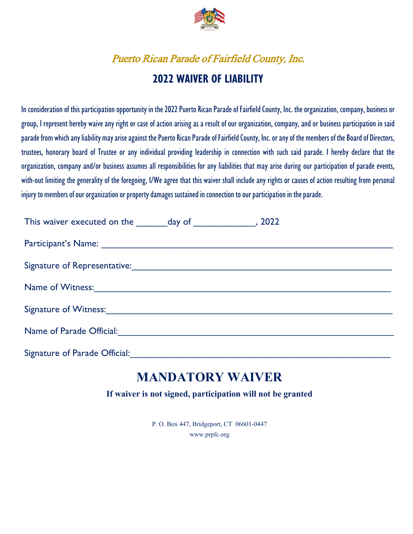

# Puerto Rican Parade of Fairfield County, Inc. **2022 WAIVER OF LIABILITY**

In consideration of this participation opportunity in the 2022 Puerto Rican Parade of Fairfield County, Inc. the organization, company, business or group, I represent hereby waive any right or case of action arising as a result of our organization, company, and or business participation in said parade from which any liability may arise against the Puerto Rican Parade of Fairfield County, Inc. or any of the members of the Board of Directors, trustees, honorary board of Trustee or any individual providing leadership in connection with such said parade. I hereby declare that the organization, company and/or business assumes all responsibilities for any liabilities that may arise during our participation of parade events, with-out limiting the generality of the foregoing, I/We agree that this waiver shall include any rights or causes of action resulting from personal injury to members of our organization or property damages sustained in connection to our participation in the parade.

| Signature of Witness: 1997 - 1998 - 1999 - 1999 - 1999 - 1999 - 1999 - 1999 - 1999 - 1999 - 1999 - 1999 - 1999 - 1999 - 1999 - 1999 - 1999 - 1999 - 1999 - 1999 - 1999 - 1999 - 1999 - 1999 - 1999 - 1999 - 1999 - 1999 - 1999 |  |  |
|--------------------------------------------------------------------------------------------------------------------------------------------------------------------------------------------------------------------------------|--|--|
|                                                                                                                                                                                                                                |  |  |
| Signature of Parade Official:                                                                                                                                                                                                  |  |  |

### **MANDATORY WAIVER**

**If waiver is not signed, participation will not be granted**

P. O. Box 447, Bridgeport, CT 06601-0447 www.prpfc.org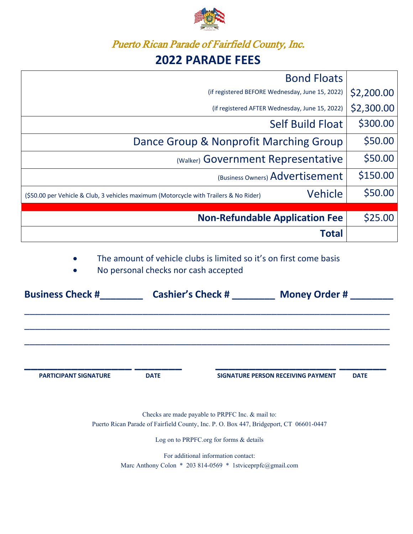

### Puerto Rican Parade of Fairfield County, Inc.

## **2022 PARADE FEES**

| <b>Bond Floats</b>                                                                                      |            |
|---------------------------------------------------------------------------------------------------------|------------|
| (if registered BEFORE Wednesday, June 15, 2022)                                                         | \$2,200.00 |
| (if registered AFTER Wednesday, June 15, 2022)                                                          | \$2,300.00 |
| <b>Self Build Float</b>                                                                                 | \$300.00   |
| Dance Group & Nonprofit Marching Group                                                                  | \$50.00    |
| (Walker) Government Representative                                                                      | \$50.00    |
| (Business Owners) Advertisement                                                                         | \$150.00   |
| <b>Vehicle</b><br>(\$50.00 per Vehicle & Club, 3 vehicles maximum (Motorcycle with Trailers & No Rider) | \$50.00    |
|                                                                                                         |            |
| <b>Non-Refundable Application Fee</b>                                                                   | \$25.00    |
| Total                                                                                                   |            |

The amount of vehicle clubs is limited so it's on first come basis

• No personal checks nor cash accepted

| <b>Cashier's Check #</b> |  | <b>Money Order #</b>               |             |
|--------------------------|--|------------------------------------|-------------|
|                          |  |                                    |             |
|                          |  | SIGNATURE PERSON RECEIVING PAYMENT |             |
| <b>DATE</b>              |  |                                    | <b>DATE</b> |
|                          |  |                                    |             |

Log on to PRPFC.org for forms & details

For additional information contact: Marc Anthony Colon \* 203 814-0569 \* 1stviceprpfc@gmail.com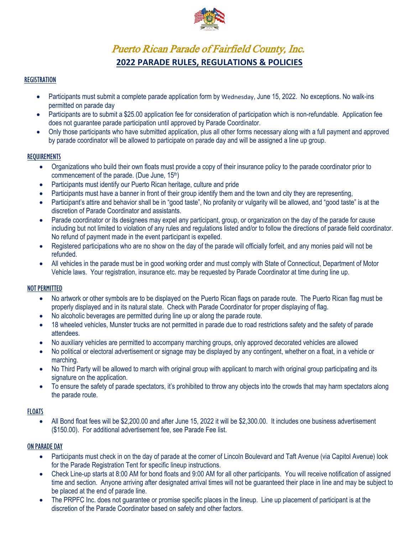

### Puerto Rican Parade of Fairfield County, Inc. **2022 PARADE RULES, REGULATIONS & POLICIES**

#### **REGISTRATION**

- Participants must submit a complete parade application form by Wednesday, June 15, 2022. No exceptions. No walk-ins permitted on parade day
- Participants are to submit a \$25.00 application fee for consideration of participation which is non-refundable. Application fee does not guarantee parade participation until approved by Parade Coordinator.
- Only those participants who have submitted application, plus all other forms necessary along with a full payment and approved by parade coordinator will be allowed to participate on parade day and will be assigned a line up group.

#### REQUIREMENTS

- Organizations who build their own floats must provide a copy of their insurance policy to the parade coordinator prior to commencement of the parade. (Due June, 15th)
- Participants must identify our Puerto Rican heritage, culture and pride
- Participants must have a banner in front of their group identify them and the town and city they are representing,
- Participant's attire and behavior shall be in "good taste", No profanity or vulgarity will be allowed, and "good taste" is at the discretion of Parade Coordinator and assistants.
- Parade coordinator or its designees may expel any participant, group, or organization on the day of the parade for cause including but not limited to violation of any rules and regulations listed and/or to follow the directions of parade field coordinator. No refund of payment made in the event participant is expelled.
- Registered participations who are no show on the day of the parade will officially forfeit, and any monies paid will not be refunded.
- All vehicles in the parade must be in good working order and must comply with State of Connecticut, Department of Motor Vehicle laws. Your registration, insurance etc. may be requested by Parade Coordinator at time during line up.

#### NOT PERMITTED

- No artwork or other symbols are to be displayed on the Puerto Rican flags on parade route. The Puerto Rican flag must be properly displayed and in its natural state. Check with Parade Coordinator for proper displaying of flag.
- No alcoholic beverages are permitted during line up or along the parade route.
- 18 wheeled vehicles, Munster trucks are not permitted in parade due to road restrictions safety and the safety of parade attendees.
- No auxiliary vehicles are permitted to accompany marching groups, only approved decorated vehicles are allowed
- No political or electoral advertisement or signage may be displayed by any contingent, whether on a float, in a vehicle or marching.
- No Third Party will be allowed to march with original group with applicant to march with original group participating and its signature on the application.
- To ensure the safety of parade spectators, it's prohibited to throw any objects into the crowds that may harm spectators along the parade route.

#### **FLOATS**

• All Bond float fees will be \$2,200.00 and after June 15, 2022 it will be \$2,300.00. It includes one business advertisement (\$150.00). For additional advertisement fee, see Parade Fee list.

#### ON PARADE DAY

- Participants must check in on the day of parade at the corner of Lincoln Boulevard and Taft Avenue (via Capitol Avenue) look for the Parade Registration Tent for specific lineup instructions.
- Check Line-up starts at 8:00 AM for bond floats and 9:00 AM for all other participants. You will receive notification of assigned time and section. Anyone arriving after designated arrival times will not be guaranteed their place in line and may be subject to be placed at the end of parade line.
- The PRPFC Inc. does not guarantee or promise specific places in the lineup. Line up placement of participant is at the discretion of the Parade Coordinator based on safety and other factors.